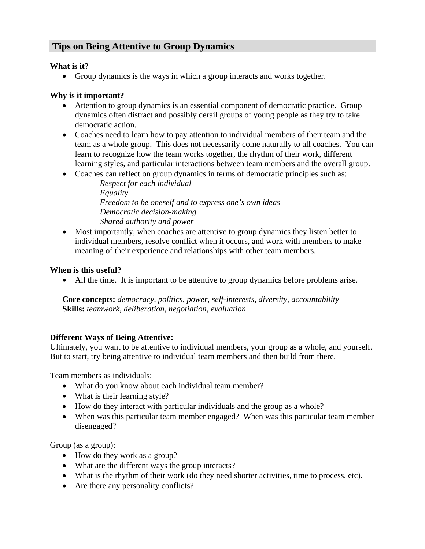# **Tips on Being Attentive to Group Dynamics**

#### **What is it?**

• Group dynamics is the ways in which a group interacts and works together.

### **Why is it important?**

- Attention to group dynamics is an essential component of democratic practice. Group dynamics often distract and possibly derail groups of young people as they try to take democratic action.
- Coaches need to learn how to pay attention to individual members of their team and the team as a whole group. This does not necessarily come naturally to all coaches. You can learn to recognize how the team works together, the rhythm of their work, different learning styles, and particular interactions between team members and the overall group.
- Coaches can reflect on group dynamics in terms of democratic principles such as:

*Respect for each individual Equality Freedom to be oneself and to express one's own ideas Democratic decision-making Shared authority and power* 

• Most importantly, when coaches are attentive to group dynamics they listen better to individual members, resolve conflict when it occurs, and work with members to make meaning of their experience and relationships with other team members.

#### **When is this useful?**

• All the time. It is important to be attentive to group dynamics before problems arise.

**Core concepts:** *democracy, politics, power, self-interests, diversity, accountability*  **Skills:** *teamwork, deliberation, negotiation, evaluation* 

## **Different Ways of Being Attentive:**

Ultimately, you want to be attentive to individual members, your group as a whole, and yourself. But to start, try being attentive to individual team members and then build from there.

Team members as individuals:

- What do you know about each individual team member?
- What is their learning style?
- How do they interact with particular individuals and the group as a whole?
- When was this particular team member engaged? When was this particular team member disengaged?

Group (as a group):

- How do they work as a group?
- What are the different ways the group interacts?
- What is the rhythm of their work (do they need shorter activities, time to process, etc).
- Are there any personality conflicts?